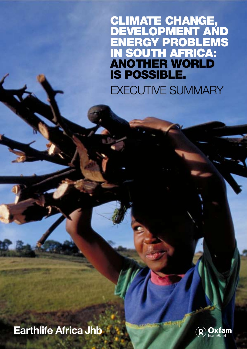CLIMATE CHANGE, DEVELOPMENT AND **NERGY PROBLEMS** SOUTH AFRICA: ANOTHER WORLD IS POSSIBLE.

EXECUTIVE SUMMARY

## **Earthlife Africa Jhb**

**Earthlife Africa Jhb**

20

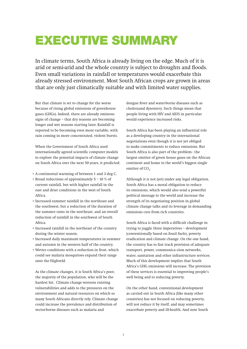## EXECUTIVE SUMMARY

In climate terms, South Africa is already living on the edge. Much of it is arid or semi-arid and the whole country is subject to droughts and floods. Even small variations in rainfall or temperatures would exacerbate this already stressed environment. Most South African crops are grown in areas that are only just climatically suitable and with limited water supplies.

But that climate is set to change for the worse because of rising global emissions of greenhouse gases (GHGs). Indeed, there are already ominous signs of change – that dry seasons are becoming longer and wet seasons starting later. Rainfall is reported to be becoming even more variable, with rain coming in more concentrated, violent bursts.

When the Government of South Africa used internationally agreed scientific computer models to explore the potential impacts of climate change on South Africa over the next 50 years, it predicted:

- A continental warming of between 1 and 3 deg C.
- Broad reductions of approximately 5 10 % of current rainfall, but with higher rainfall in the east and drier conditions in the west of South Africa.
- Increased summer rainfall in the northeast and the southwest, but a reduction of the duration of the summer rains in the northeast, and an overall reduction of rainfall in the southwest of South Africa.
- Increased rainfall in the northeast of the country during the winter season.
- Increased daily maximum temperatures in summer and autumn in the western half of the country.
- Wetter conditions with a reduction in frost, which could see malaria mosquitoes expand their range onto the Highveld.

As the climate changes, it is South Africa's poor, the majority of the population, who will be the hardest hit. Climate change worsens existing vulnerabilities and adds to the pressures on the environment and natural resources on which so many South Africans directly rely. Climate change could increase the prevalence and distribution of vector-borne diseases such as malaria and

dengue fever and water-borne diseases such as choleraand dysentery. Such things mean that people living with HIV and AIDS in particular would experience increased risks.

South Africa has been playing an influential role as a developing country in the international negotiations even though it is not yet obliged to make commitments to reduce emissions. But South Africa is also part of the problem - the largest emitter of green house gases on the African continent and home to the world's biggest single emitter of  $CO<sub>2</sub>$ .

Although it is not (yet) under any legal obligation, South Africa has a moral obligation to reduce its emissions, which would also send a powerful political message to the world and increase the strength of its negotiating position in global climate change talks and its leverage in demanding emissions cuts from rich countries.

South Africa is faced with a difficult challenge in trying to juggle three imperatives – development (conventionally based on fossil fuels), poverty eradication and climate change. On the one hand, the country has to fast track provision of adequate transport, power, communica¬tion networks, water, sanitation and other infrastructure services. Much of this development implies that South Africa's GHG emissions will increase. The provision of these services is essential to improving people's well being and to reducing poverty.

On the other hand, conventional development as carried out in South Africa (like many other countries) has not focused on reducing poverty, will not reduce it by itself, and may sometimes exacerbate poverty and ill-health. And now South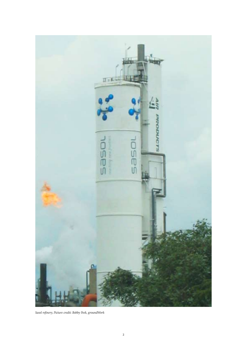

*Sasol refinery, Picture credit: Bobby Peek, groundWork*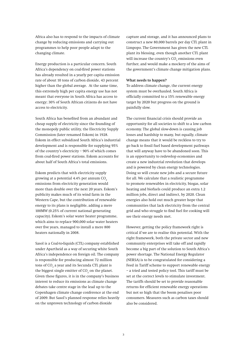Africa also has to respond to the impacts of climate change by reducing emissions and carrying out programmes to help poor people adapt to the changing climate.

Energy production is a particular concern. South Africa's dependency on coal-fired power stations has already resulted in a yearly per capita emission rate of about 10 tons of carbon dioxide, 43 percent higher than the global average. At the same time, this extremely high per capita energy use has not meant that everyone in South Africa has access to energy; 30% of South African citizens do not have access to electricity.

South Africa has benefited from an abundant and cheap supply of electricity since the founding of the monopoly public utility, the Electricity Supply Commission (later renamed Eskom) in 1928. Eskom in effect subsidized South Africa's industrial development and is responsible for supplying 95% of the country's electricity – 90% of which comes from coal-fired power stations. Eskom accounts for about half of South Africa's total emissions.

Eskom predicts that with electricity supply growing at a potential  $4.4\%$  per annum CO<sub>2</sub> emissions from electricity generation would more than double over the next 20 years. Eskom's publicity makes much of its wind farm in the Western Cape, but the contribution of renewable energy to its plans is negligible, adding a mere 100MW (0.25% of current national generating capacity). Eskom's solar water heater programme, which aims to replace 900,000 solar water heaters over five years, managed to install a mere 800 heaters nationally in 2008.

Sasol is a Coal-to-liquids (CTL) company established under Apartheid as a way of securing white South Africa's independence on foreign oil. The company is responsible for producing almost 72 million tons of CO $_{\rm _2}$  a year and its Secunda CTL plant is the biggest single emitter of CO<sub>2</sub> on the planet. Given these figures, it is in the company's business interest to reduce its emissions as climate change debates take centre stage in the lead up to the Copenhagen climate change conference at the end of 2009. But Sasol's planned response relies heavily on the unproven technology of carbon dioxide

capture and storage, and it has announced plans to construct a new 80,000 barrels per day CTL plant in Limpopo. The Government has given the new CTL plant its blessing, even though another CTL plant will increase the country's  $\mathrm{CO}_2$  emissions even further, and would make a mockery of the aims of the government's climate change mitigation plans.

## **What needs to happen?**

To address climate change, the current energy system must be overhauled. South Africa is officially committed to a 15% renewable energy target by 2020 but progress on the ground is painfully slow.

The current financial crisis should provide an opportunity for all societies to shift to a low carbon economy. The global slow-down is causing job losses and hardship to many, but equally, climate change means that it would be reckless to try to go back to fossil fuel based development pathways that will anyway have to be abandoned soon. This is an opportunity to redevelop economies and create a new industrial revolution that develops and is powered by clean energy technologies. Doing so will create new jobs and a secure future for all. We calculate that a realistic programme to promote renewables in electricity, biogas, solar heating and biofuels could produce an extra 1.2 million jobs, direct and indirect, by 2020. Clean energies also hold out much greater hope that communities that lack electricity from the central grid and who struggle to find fuel for cooking will see their energy needs met.

However, getting the policy framework right is critical if we are to realise this potential. With the right framework, both the private sector and new community enterprises will take off and rapidly become a big part of the solution to South Africa's power shortage. The National Energy Regulator (NERSA) is to be congratulated for considering a Feed in Tariff scheme to support renewable energy – a tried and tested policy tool. This tariff must be set at the correct levels to stimulate investment. The tariffs should be set to provide reasonable returns for efficient renewable energy operations but not so high that the boom penalises poor consumers. Measures such as carbon taxes should also be considered.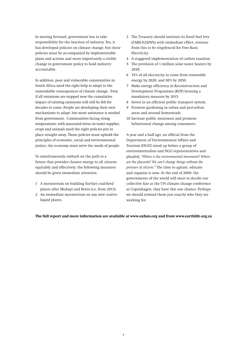In moving forward, government has to take responsibility for the inaction of industry. Yes, it has developed policies on climate change, but these policies must be accompanied by implementable plans and actions and more importantly a visible change in government policy to hold industry accountable.

In addition, poor and vulnerable communities in South Africa need the right help to adapt to the unavoidable consequences of climate change. Even if all emissions are stopped now the cumulative impact of existing emissions will still be felt for decades to come. People are developing their own mechanisms to adapt, but more assistance is needed from government. Communities facing rising temperatures, with associated stress on water supplies, crops and animals need the right policies put in place straight away. Those policies must uphold the principles of economic, social and environmental justice; the economy must serve the needs of people.

To simultaneously embark on the path to a future that provides cleaner energy to all citizens equitably and effectively, the following measures should be given immediate attention:

- 1 A moratorium on building further coal-fired plants after Medupi and Bravo (i.e. from 2013).
- 2 An immediate moratorium on any new coal-toliquid plants.
- 3 The Treasury should institute its fossil fuel levy (ZAR0.02/kWh) with immediate effect, revenue from this to be ring-fenced for Free Basic Electricity.
- 4 A staggered implementation of carbon taxation.
- 5 The provision of 1 million solar water heaters by 2020.
- 6 15% of all electricity to come from renewable energy by 2020, and 50% by 2050.
- 7 Make energy efficiency in Reconstruction and Development Programme (RDP) housing a mandatory measure by 2015.
- 8 Invest in an efficient public transport system.
- 9 Promote gardening in urban and peri-urban areas and around homesteads.
- 10 Increase public awareness and promote behavioural change among consumers.

A year and a half ago, an official from the Department of Environmental Affairs and Tourism (DEAT) stood up before a group of environmentalists and NGO representatives and pleaded, *"Where is the environmental movement? Where are the placards? We can't change things without the pressure of citizens."* The time to agitate, educate and organise is now. At the end of 2009, the governments of the world will meet to decide our collective fate at the UN climate change conference at Copenhagen; they have this one chance. Perhaps we should remind them just exactly who they are working for.

## **The full report and more information are available at www.oxfam.org and from www.earthlife.org.za**